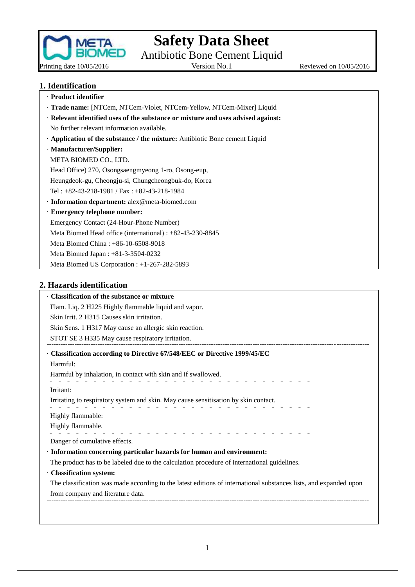

# **Safety Data Sheet**

Antibiotic Bone Cement Liquid

Version No.1 Reviewed on  $10/05/2016$ 

## **1. Identification**

| · Product identifier                                                             |
|----------------------------------------------------------------------------------|
| · Trade name: [NTCem, NTCem-Violet, NTCem-Yellow, NTCem-Mixer] Liquid            |
| · Relevant identified uses of the substance or mixture and uses advised against: |
| No further relevant information available.                                       |
| Application of the substance / the mixture: Antibiotic Bone cement Liquid        |
| · Manufacturer/Supplier:                                                         |
| META BIOMED CO., LTD.                                                            |
| Head Office) 270, Osongsaengmyeong 1-ro, Osong-eup,                              |
| Heungdeok-gu, Cheongju-si, Chungcheongbuk-do, Korea                              |
| Tel: $+82-43-218-1981$ / Fax: $+82-43-218-1984$                                  |
| · Information department: alex@meta-biomed.com                                   |
| · Emergency telephone number:                                                    |
| Emergency Contact (24-Hour-Phone Number)                                         |
| Meta Biomed Head office (international) : +82-43-230-8845                        |
| Meta Biomed China: +86-10-6508-9018                                              |
| Meta Biomed Japan : +81-3-3504-0232                                              |
| Meta Biomed US Corporation : +1-267-282-5893                                     |
| TT 1 . 1 . 100 . 1                                                               |

## **2. Hazards identification**

| • Classification of the substance or mixture                  |                                                                                                                   |
|---------------------------------------------------------------|-------------------------------------------------------------------------------------------------------------------|
| Flam. Liq. 2 H225 Highly flammable liquid and vapor.          |                                                                                                                   |
| Skin Irrit. 2 H315 Causes skin irritation.                    |                                                                                                                   |
| Skin Sens. 1 H317 May cause an allergic skin reaction.        |                                                                                                                   |
| STOT SE 3 H335 May cause respiratory irritation.              |                                                                                                                   |
|                                                               | Classification according to Directive 67/548/EEC or Directive 1999/45/EC                                          |
| Harmful:                                                      |                                                                                                                   |
| Harmful by inhalation, in contact with skin and if swallowed. |                                                                                                                   |
| Irritant:                                                     |                                                                                                                   |
|                                                               | Irritating to respiratory system and skin. May cause sensitisation by skin contact.                               |
| Highly flammable:                                             |                                                                                                                   |
| Highly flammable.                                             |                                                                                                                   |
| Danger of cumulative effects.                                 |                                                                                                                   |
|                                                               | · Information concerning particular hazards for human and environment:                                            |
|                                                               | The product has to be labeled due to the calculation procedure of international guidelines.                       |
| · Classification system:                                      |                                                                                                                   |
|                                                               | The classification was made according to the latest editions of international substances lists, and expanded upon |
| from company and literature data.                             |                                                                                                                   |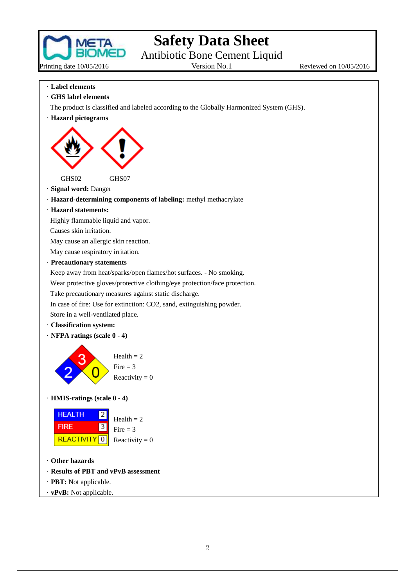

# **Safety Data Sheet**

Antibiotic Bone Cement Liquid<br>Version No.1

Reviewed on 10/05/2016

- · **Label elements**
- · **GHS label elements**
- The product is classified and labeled according to the Globally Harmonized System (GHS).
- · **Hazard pictograms**



- · **Signal word:** Danger
- · **Hazard-determining components of labeling:** methyl methacrylate
- · **Hazard statements:**

Highly flammable liquid and vapor.

Causes skin irritation.

May cause an allergic skin reaction.

May cause respiratory irritation.

· **Precautionary statements**

Keep away from heat/sparks/open flames/hot surfaces. - No smoking.

Wear protective gloves/protective clothing/eye protection/face protection.

Take precautionary measures against static discharge.

In case of fire: Use for extinction: CO2, sand, extinguishing powder.

Store in a well-ventilated place.

- · **Classification system:**
- · **NFPA ratings (scale 0 - 4)**



· **HMIS-ratings (scale 0 - 4)**



- · **Other hazards**
- · **Results of PBT and vPvB assessment**
- · **PBT:** Not applicable.
- · **vPvB:** Not applicable.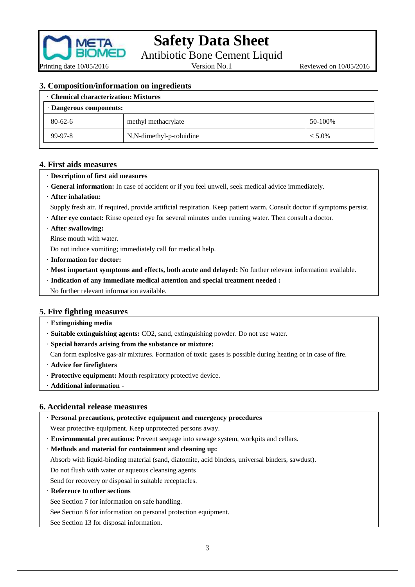

Antibiotic Bone Cement Liquid

Version No.1 Reviewed on  $10/05/2016$ 

#### **3. Composition/information on ingredients**

| <b>Chemical characterization: Mixtures</b> |                          |           |
|--------------------------------------------|--------------------------|-----------|
| · Dangerous components:                    |                          |           |
| $80 - 62 - 6$                              | methyl methacrylate      | 50-100%   |
| 99-97-8                                    | N,N-dimethyl-p-toluidine | $< 5.0\%$ |

#### **4. First aids measures**

#### · **Description of first aid measures**

- · **General information:** In case of accident or if you feel unwell, seek medical advice immediately.
- · **After inhalation:**
- Supply fresh air. If required, provide artificial respiration. Keep patient warm. Consult doctor if symptoms persist.
- · **After eye contact:** Rinse opened eye for several minutes under running water. Then consult a doctor.
- · **After swallowing:**

Rinse mouth with water.

Do not induce vomiting; immediately call for medical help.

- ·**Information for doctor:**
- · **Most important symptoms and effects, both acute and delayed:** No further relevant information available.
- · **Indication of any immediate medical attention and special treatment needed :**
- No further relevant information available.

### **5. Fire fighting measures**

- · **Extinguishing media**
- · **Suitable extinguishing agents:** CO2, sand, extinguishing powder. Do not use water.
- · **Special hazards arising from the substance or mixture:**

Can form explosive gas-air mixtures. Formation of toxic gases is possible during heating or in case of fire.

- · **Advice for firefighters**
- · **Protective equipment:** Mouth respiratory protective device.

· **Additional information** -

#### **6. Accidental release measures**

· **Personal precautions, protective equipment and emergency procedures**

Wear protective equipment. Keep unprotected persons away.

· **Environmental precautions:** Prevent seepage into sewage system, workpits and cellars.

#### · **Methods and material for containment and cleaning up:**

Absorb with liquid-binding material (sand, diatomite, acid binders, universal binders, sawdust).

Do not flush with water or aqueous cleansing agents

Send for recovery or disposal in suitable receptacles.

· **Reference to other sections**

See Section 7 for information on safe handling.

See Section 8 for information on personal protection equipment.

See Section 13 for disposal information.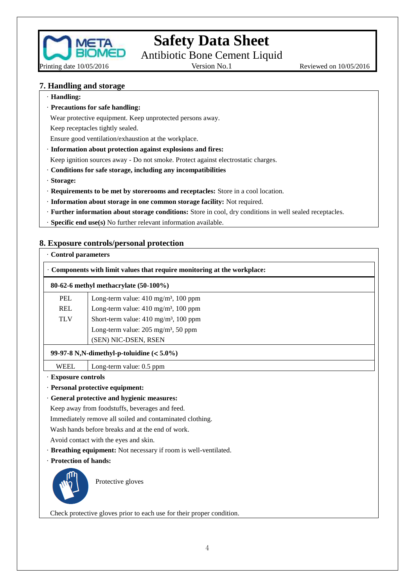

**Safety Data Sheet**

Antibiotic Bone Cement Liquid<br>Version No.1

Reviewed on 10/05/2016

#### **7. Handling and storage**

· **Handling:**

· **Precautions for safe handling:**

Wear protective equipment. Keep unprotected persons away.

Keep receptacles tightly sealed.

Ensure good ventilation/exhaustion at the workplace.

· **Information about protection against explosions and fires:**

Keep ignition sources away - Do not smoke. Protect against electrostatic charges.

- · **Conditions for safe storage, including any incompatibilities**
- · **Storage:**
- · **Requirements to be met by storerooms and receptacles:** Store in a cool location.
- · **Information about storage in one common storage facility:** Not required.
- · **Further information about storage conditions:** Store in cool, dry conditions in well sealed receptacles.
- · **Specific end use(s)** No further relevant information available.

#### **8. Exposure controls/personal protection**

| <b>Control parameters</b>                |                                                                        |  |  |  |
|------------------------------------------|------------------------------------------------------------------------|--|--|--|
|                                          | Components with limit values that require monitoring at the workplace: |  |  |  |
| 80-62-6 methyl methacrylate $(50-100\%)$ |                                                                        |  |  |  |
| <b>PEL</b>                               | Long-term value: $410 \text{ mg/m}^3$ , $100 \text{ ppm}$              |  |  |  |
| <b>REL</b>                               | Long-term value: $410 \text{ mg/m}^3$ , $100 \text{ ppm}$              |  |  |  |
| <b>TLV</b>                               | Short-term value: 410 mg/m <sup>3</sup> , 100 ppm                      |  |  |  |
|                                          | Long-term value: $205 \text{ mg/m}^3$ , 50 ppm                         |  |  |  |
|                                          | (SEN) NIC-DSEN, RSEN                                                   |  |  |  |
|                                          | 99-97-8 N,N-dimethyl-p-toluidine $(<5.0\%)$                            |  |  |  |
| <b>WEEL</b>                              | Long-term value: 0.5 ppm                                               |  |  |  |
| <b>Exposure controls</b>                 |                                                                        |  |  |  |
|                                          | · Personal protective equipment:                                       |  |  |  |
|                                          | · General protective and hygienic measures:                            |  |  |  |
|                                          | Keep away from foodstuffs, beverages and feed.                         |  |  |  |
|                                          | Immediately remove all soiled and contaminated clothing.               |  |  |  |

Wash hands before breaks and at the end of work.

Avoid contact with the eyes and skin.

- · **Breathing equipment:** Not necessary if room is well-ventilated.
- · **Protection of hands:**



Protective gloves

Check protective gloves prior to each use for their proper condition.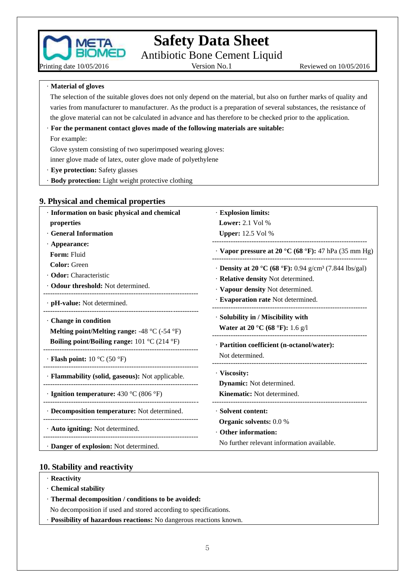

Antibiotic Bone Cement Liquid<br>Version No.1

Reviewed on 10/05/2016

· **Material of gloves**

Printing date 10/05/2016

The selection of the suitable gloves does not only depend on the material, but also on further marks of quality and varies from manufacturer to manufacturer. As the product is a preparation of several substances, the resistance of the glove material can not be calculated in advance and has therefore to be checked prior to the application.

#### · **For the permanent contact gloves made of the following materials are suitable:**

For example:

Glove system consisting of two superimposed wearing gloves:

inner glove made of latex, outer glove made of polyethylene

· **Eye protection:** Safety glasses

· **Body protection:** Light weight protective clothing

### **9. Physical and chemical properties**

| · Information on basic physical and chemical                                            | · Explosion limits:                                                          |
|-----------------------------------------------------------------------------------------|------------------------------------------------------------------------------|
| properties                                                                              | Lower: $2.1$ Vol %                                                           |
| <b>General Information</b>                                                              | <b>Upper:</b> 12.5 Vol %                                                     |
| $\cdot$ Appearance:                                                                     |                                                                              |
| Form: Fluid                                                                             | · Vapor pressure at 20 °C (68 °F): 47 hPa (35 mm Hg)                         |
| <b>Color:</b> Green                                                                     | • <b>Density at 20 °C (68 °F):</b> 0.94 g/cm <sup>3</sup> (7.844 lbs/gal)    |
| · Odor: Characteristic                                                                  | · Relative density Not determined.                                           |
| · Odour threshold: Not determined.                                                      | · Vapour density Not determined.                                             |
| $\cdot$ pH-value: Not determined.                                                       | · Evaporation rate Not determined.                                           |
| Change in condition<br>Melting point/Melting range: -48 $^{\circ}$ C (-54 $^{\circ}$ F) | · Solubility in / Miscibility with<br><b>Water at 20 °C (68 °F):</b> 1.6 g/l |
| <b>Boiling point/Boiling range:</b> 101 °C (214 °F)                                     | · Partition coefficient (n-octanol/water):                                   |
| $\cdot$ Flash point: 10 °C (50 °F)                                                      | Not determined.                                                              |
| · Flammability (solid, gaseous): Not applicable.                                        | · Viscosity:                                                                 |
|                                                                                         | <b>Dynamic:</b> Not determined.                                              |
| $\cdot$ Ignition temperature: 430 °C (806 °F)                                           | Kinematic: Not determined.                                                   |
| · Decomposition temperature: Not determined.                                            | · Solvent content:                                                           |
| · Auto igniting: Not determined.                                                        | <b>Organic solvents:</b> 0.0 %<br>Other information:                         |
| · Danger of explosion: Not determined.                                                  | No further relevant information available.                                   |

#### **10. Stability and reactivity**

- · **Reactivity**
- · **Chemical stability**
- · **Thermal decomposition / conditions to be avoided:**

No decomposition if used and stored according to specifications.

· **Possibility of hazardous reactions:** No dangerous reactions known.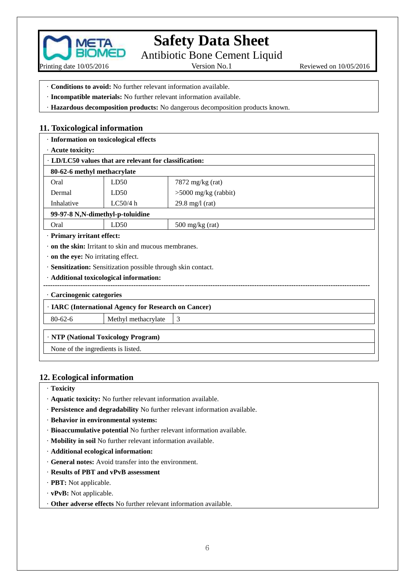

Antibiotic Bone Cement Liquid<br>Version No.1

Reviewed on 10/05/2016

- · **Conditions to avoid:** No further relevant information available.
- · **Incompatible materials:** No further relevant information available.
- · **Hazardous decomposition products:** No dangerous decomposition products known.

### **11. Toxicological information**

|                                           | · Information on toxicological effects                        |                           |  |
|-------------------------------------------|---------------------------------------------------------------|---------------------------|--|
| · Acute toxicity:                         |                                                               |                           |  |
|                                           | · LD/LC50 values that are relevant for classification:        |                           |  |
| 80-62-6 methyl methacrylate               |                                                               |                           |  |
| Oral                                      | LD50                                                          | 7872 mg/kg (rat)          |  |
| Dermal                                    | LD50                                                          | $>5000$ mg/kg (rabbit)    |  |
| Inhalative                                | LC50/4 h                                                      | $29.8 \text{ mg/l}$ (rat) |  |
|                                           | 99-97-8 N,N-dimethyl-p-toluidine                              |                           |  |
| Oral                                      | LD50                                                          | $500 \text{ mg/kg}$ (rat) |  |
| · Primary irritant effect:                |                                                               |                           |  |
|                                           | $\cdot$ on the skin: Irritant to skin and mucous membranes.   |                           |  |
| $\cdot$ on the eye: No irritating effect. |                                                               |                           |  |
|                                           | · Sensitization: Sensitization possible through skin contact. |                           |  |
| · Additional toxicological information:   |                                                               |                           |  |
| · Carcinogenic categories                 |                                                               |                           |  |
|                                           | · IARC (International Agency for Research on Cancer)          |                           |  |
| $80 - 62 - 6$                             | Methyl methacrylate                                           | 3                         |  |
|                                           | · NTP (National Toxicology Program)                           |                           |  |
| None of the ingredients is listed.        |                                                               |                           |  |

### **12. Ecological information**

- · **Toxicity**
- · **Aquatic toxicity:** No further relevant information available.
- · **Persistence and degradability** No further relevant information available.
- · **Behavior in environmental systems:**
- · **Bioaccumulative potential** No further relevant information available.
- · **Mobility in soil** No further relevant information available.
- · **Additional ecological information:**
- · **General notes:** Avoid transfer into the environment.
- · **Results of PBT and vPvB assessment**
- · **PBT:** Not applicable.
- · **vPvB:** Not applicable.
- · **Other adverse effects** No further relevant information available.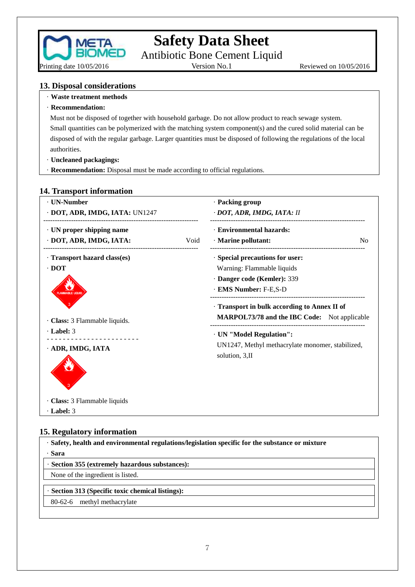

# **Safety Data Sheet**

Antibiotic Bone Cement Liquid<br>Version No.1

Reviewed on 10/05/2016

#### **13. Disposal considerations**

- · **Waste treatment methods**
- · **Recommendation:**

Must not be disposed of together with household garbage. Do not allow product to reach sewage system. Small quantities can be polymerized with the matching system component(s) and the cured solid material can be disposed of with the regular garbage. Larger quantities must be disposed of following the regulations of the local

- authorities. · **Uncleaned packagings:**
- · **Recommendation:** Disposal must be made according to official regulations.

#### **14. Transport information**

| · UN-Number                            | · Packing group                                                                                     |
|----------------------------------------|-----------------------------------------------------------------------------------------------------|
| · DOT, ADR, IMDG, IATA: UN1247         | · DOT, ADR, IMDG, IATA: II                                                                          |
| · UN proper shipping name              | · Environmental hazards:                                                                            |
| · DOT, ADR, IMDG, IATA:<br>Void        | · Marine pollutant:<br>N <sub>0</sub>                                                               |
| · Transport hazard class(es)           | · Special precautions for user:                                                                     |
| $\cdot$ DOT                            | Warning: Flammable liquids                                                                          |
|                                        | · Danger code (Kemler): 339                                                                         |
| <b>FLAMMABLE LIQUID</b>                | · EMS Number: F-E,S-D                                                                               |
| · Class: 3 Flammable liquids.          | · Transport in bulk according to Annex II of<br><b>MARPOL73/78 and the IBC Code:</b> Not applicable |
| $\cdot$ Label: 3                       | · UN "Model Regulation":                                                                            |
| _________________<br>· ADR, IMDG, IATA | UN1247, Methyl methacrylate monomer, stabilized,<br>solution, 3, II                                 |
| · Class: 3 Flammable liquids           |                                                                                                     |
| $\cdot$ Label: 3                       |                                                                                                     |

### **15. Regulatory information**

· **Safety, health and environmental regulations/legislation specific for the substance or mixture** · **Sara**

· **Section 355 (extremely hazardous substances):**

None of the ingredient is listed.

· **Section 313 (Specific toxic chemical listings):**

80-62-6 methyl methacrylate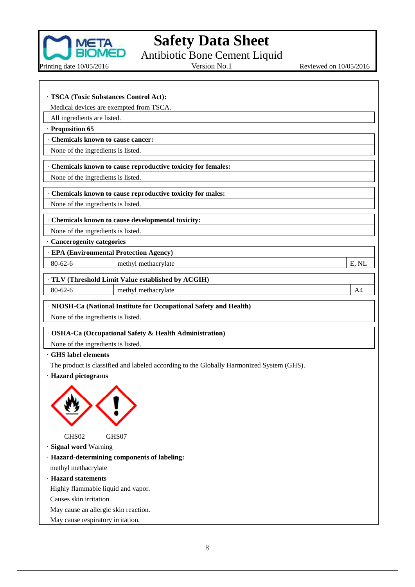

Antibiotic Bone Cement Liquid

Printing date 10/05/2016

Version No.1 Reviewed on  $10/05/2016$ 

| · TSCA (Toxic Substances Control Act):                                                   |  |
|------------------------------------------------------------------------------------------|--|
| Medical devices are exempted from TSCA.                                                  |  |
| All ingredients are listed.                                                              |  |
| · Proposition 65                                                                         |  |
| Chemicals known to cause cancer:                                                         |  |
| None of the ingredients is listed.                                                       |  |
|                                                                                          |  |
| Chemicals known to cause reproductive toxicity for females:                              |  |
| None of the ingredients is listed.                                                       |  |
| Chemicals known to cause reproductive toxicity for males:                                |  |
| None of the ingredients is listed.                                                       |  |
| Chemicals known to cause developmental toxicity:                                         |  |
| None of the ingredients is listed.                                                       |  |
| Cancerogenity categories                                                                 |  |
| <b>EPA (Environmental Protection Agency)</b>                                             |  |
| $80 - 62 - 6$<br>methyl methacrylate<br>E, NL                                            |  |
| TLV (Threshold Limit Value established by ACGIH)                                         |  |
| $80 - 62 - 6$<br>methyl methacrylate<br>A4                                               |  |
|                                                                                          |  |
| · NIOSH-Ca (National Institute for Occupational Safety and Health)                       |  |
| None of the ingredients is listed.                                                       |  |
| <b>OSHA-Ca (Occupational Safety &amp; Health Administration)</b>                         |  |
| None of the ingredients is listed.                                                       |  |
| <b>GHS</b> label elements                                                                |  |
| The product is classified and labeled according to the Globally Harmonized System (GHS). |  |
| · Hazard pictograms                                                                      |  |
|                                                                                          |  |
|                                                                                          |  |
| GHS02<br>GHS07                                                                           |  |
| · Signal word Warning<br>· Hazard-determining components of labeling:                    |  |
| methyl methacrylate                                                                      |  |
| · Hazard statements                                                                      |  |
| Highly flammable liquid and vapor.                                                       |  |
| Causes skin irritation.                                                                  |  |
| May cause an allergic skin reaction.                                                     |  |
| May cause respiratory irritation.                                                        |  |